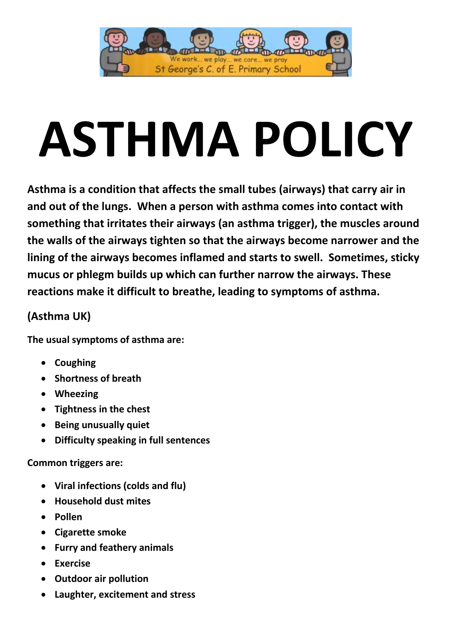

# **ASTHMA POLICY**

**Asthma is a condition that affects the small tubes (airways) that carry air in and out of the lungs. When a person with asthma comes into contact with something that irritates their airways (an asthma trigger), the muscles around the walls of the airways tighten so that the airways become narrower and the lining of the airways becomes inflamed and starts to swell. Sometimes, sticky mucus or phlegm builds up which can further narrow the airways. These reactions make it difficult to breathe, leading to symptoms of asthma.**

# **(Asthma UK)**

**The usual symptoms of asthma are:**

- **Coughing**
- **Shortness of breath**
- **Wheezing**
- **Tightness in the chest**
- **Being unusually quiet**
- **Difficulty speaking in full sentences**

# **Common triggers are:**

- **Viral infections (colds and flu)**
- **Household dust mites**
- **Pollen**
- **Cigarette smoke**
- **Furry and feathery animals**
- **Exercise**
- **Outdoor air pollution**
- **Laughter, excitement and stress**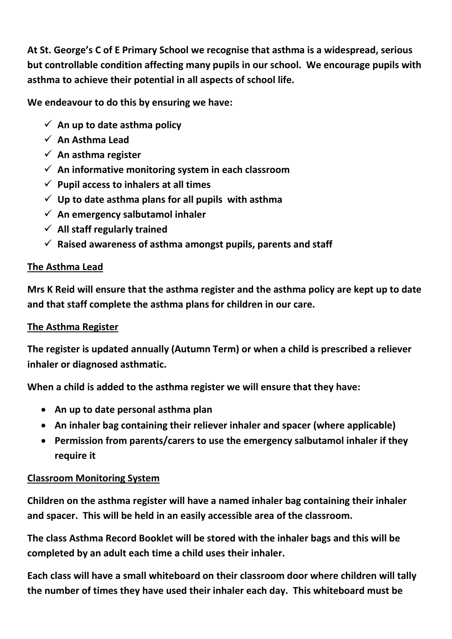**At St. George's C of E Primary School we recognise that asthma is a widespread, serious but controllable condition affecting many pupils in our school. We encourage pupils with asthma to achieve their potential in all aspects of school life.**

**We endeavour to do this by ensuring we have:**

- $\checkmark$  An up to date asthma policy
- **An Asthma Lead**
- **An asthma register**
- **An informative monitoring system in each classroom**
- $\checkmark$  Pupil access to inhalers at all times
- **Up to date asthma plans for all pupils with asthma**
- **An emergency salbutamol inhaler**
- **All staff regularly trained**
- $\checkmark$  Raised awareness of asthma amongst pupils, parents and staff

#### **The Asthma Lead**

**Mrs K Reid will ensure that the asthma register and the asthma policy are kept up to date and that staff complete the asthma plans for children in our care.** 

# **The Asthma Register**

**The register is updated annually (Autumn Term) or when a child is prescribed a reliever inhaler or diagnosed asthmatic.**

**When a child is added to the asthma register we will ensure that they have:**

- **An up to date personal asthma plan**
- **An inhaler bag containing their reliever inhaler and spacer (where applicable)**
- **Permission from parents/carers to use the emergency salbutamol inhaler if they require it**

# **Classroom Monitoring System**

**Children on the asthma register will have a named inhaler bag containing their inhaler and spacer. This will be held in an easily accessible area of the classroom.**

**The class Asthma Record Booklet will be stored with the inhaler bags and this will be completed by an adult each time a child uses their inhaler.**

**Each class will have a small whiteboard on their classroom door where children will tally the number of times they have used their inhaler each day. This whiteboard must be**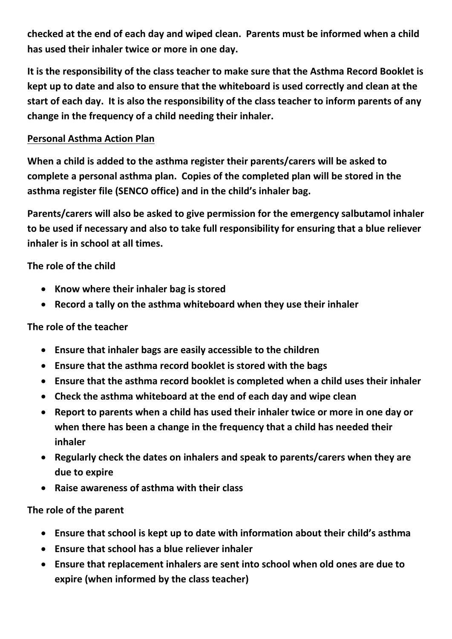**checked at the end of each day and wiped clean. Parents must be informed when a child has used their inhaler twice or more in one day.**

**It is the responsibility of the class teacher to make sure that the Asthma Record Booklet is kept up to date and also to ensure that the whiteboard is used correctly and clean at the start of each day. It is also the responsibility of the class teacher to inform parents of any change in the frequency of a child needing their inhaler.**

## **Personal Asthma Action Plan**

**When a child is added to the asthma register their parents/carers will be asked to complete a personal asthma plan. Copies of the completed plan will be stored in the asthma register file (SENCO office) and in the child's inhaler bag.**

**Parents/carers will also be asked to give permission for the emergency salbutamol inhaler to be used if necessary and also to take full responsibility for ensuring that a blue reliever inhaler is in school at all times.**

# **The role of the child**

- **Know where their inhaler bag is stored**
- **Record a tally on the asthma whiteboard when they use their inhaler**

#### **The role of the teacher**

- **Ensure that inhaler bags are easily accessible to the children**
- **Ensure that the asthma record booklet is stored with the bags**
- **Ensure that the asthma record booklet is completed when a child uses their inhaler**
- **Check the asthma whiteboard at the end of each day and wipe clean**
- **Report to parents when a child has used their inhaler twice or more in one day or when there has been a change in the frequency that a child has needed their inhaler**
- **Regularly check the dates on inhalers and speak to parents/carers when they are due to expire**
- **Raise awareness of asthma with their class**

#### **The role of the parent**

- **Ensure that school is kept up to date with information about their child's asthma**
- **Ensure that school has a blue reliever inhaler**
- **Ensure that replacement inhalers are sent into school when old ones are due to expire (when informed by the class teacher)**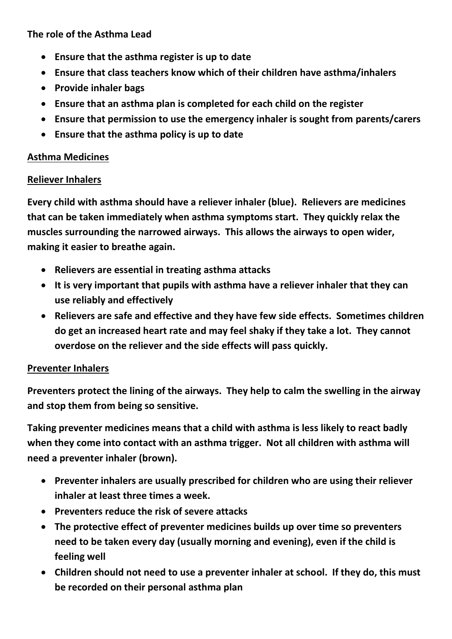#### **The role of the Asthma Lead**

- **Ensure that the asthma register is up to date**
- **Ensure that class teachers know which of their children have asthma/inhalers**
- **Provide inhaler bags**
- **Ensure that an asthma plan is completed for each child on the register**
- **Ensure that permission to use the emergency inhaler is sought from parents/carers**
- **Ensure that the asthma policy is up to date**

# **Asthma Medicines**

#### **Reliever Inhalers**

**Every child with asthma should have a reliever inhaler (blue). Relievers are medicines that can be taken immediately when asthma symptoms start. They quickly relax the muscles surrounding the narrowed airways. This allows the airways to open wider, making it easier to breathe again.**

- **Relievers are essential in treating asthma attacks**
- **It is very important that pupils with asthma have a reliever inhaler that they can use reliably and effectively**
- **Relievers are safe and effective and they have few side effects. Sometimes children do get an increased heart rate and may feel shaky if they take a lot. They cannot overdose on the reliever and the side effects will pass quickly.**

# **Preventer Inhalers**

**Preventers protect the lining of the airways. They help to calm the swelling in the airway and stop them from being so sensitive.** 

**Taking preventer medicines means that a child with asthma is less likely to react badly when they come into contact with an asthma trigger. Not all children with asthma will need a preventer inhaler (brown).**

- **Preventer inhalers are usually prescribed for children who are using their reliever inhaler at least three times a week.**
- **Preventers reduce the risk of severe attacks**
- **The protective effect of preventer medicines builds up over time so preventers need to be taken every day (usually morning and evening), even if the child is feeling well**
- **Children should not need to use a preventer inhaler at school. If they do, this must be recorded on their personal asthma plan**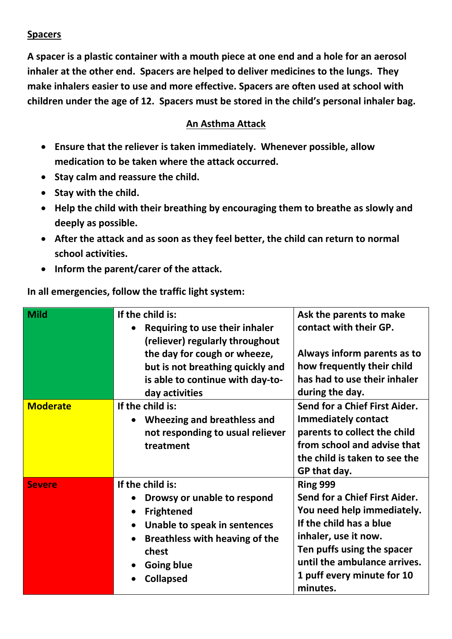## **Spacers**

**A spacer is a plastic container with a mouth piece at one end and a hole for an aerosol inhaler at the other end. Spacers are helped to deliver medicines to the lungs. They make inhalers easier to use and more effective. Spacers are often used at school with children under the age of 12. Spacers must be stored in the child's personal inhaler bag.**

#### **An Asthma Attack**

- **Ensure that the reliever is taken immediately. Whenever possible, allow medication to be taken where the attack occurred.**
- **•** Stay calm and reassure the child.
- **•** Stay with the child.
- **Help the child with their breathing by encouraging them to breathe as slowly and deeply as possible.**
- **After the attack and as soon as they feel better, the child can return to normal school activities.**
- **Inform the parent/carer of the attack.**

**In all emergencies, follow the traffic light system:**

| <b>Mild</b>     | If the child is:<br>Requiring to use their inhaler<br>(reliever) regularly throughout<br>the day for cough or wheeze,<br>but is not breathing quickly and<br>is able to continue with day-to-<br>day activities                                     | Ask the parents to make<br>contact with their GP.<br>Always inform parents as to<br>how frequently their child<br>has had to use their inhaler<br>during the day.                                                                         |
|-----------------|-----------------------------------------------------------------------------------------------------------------------------------------------------------------------------------------------------------------------------------------------------|-------------------------------------------------------------------------------------------------------------------------------------------------------------------------------------------------------------------------------------------|
| <b>Moderate</b> | If the child is:<br>Wheezing and breathless and<br>$\bullet$<br>not responding to usual reliever<br>treatment                                                                                                                                       | Send for a Chief First Aider.<br><b>Immediately contact</b><br>parents to collect the child<br>from school and advise that<br>the child is taken to see the<br>GP that day.                                                               |
| <b>Severe</b>   | If the child is:<br>Drowsy or unable to respond<br>$\bullet$<br><b>Frightened</b><br>$\bullet$<br>Unable to speak in sentences<br>$\bullet$<br><b>Breathless with heaving of the</b><br>$\bullet$<br>chest<br><b>Going blue</b><br><b>Collapsed</b> | <b>Ring 999</b><br>Send for a Chief First Aider.<br>You need help immediately.<br>If the child has a blue<br>inhaler, use it now.<br>Ten puffs using the spacer<br>until the ambulance arrives.<br>1 puff every minute for 10<br>minutes. |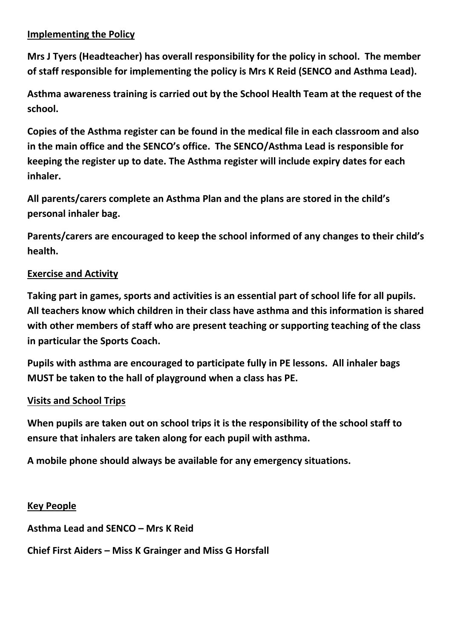#### **Implementing the Policy**

**Mrs J Tyers (Headteacher) has overall responsibility for the policy in school. The member of staff responsible for implementing the policy is Mrs K Reid (SENCO and Asthma Lead).**

**Asthma awareness training is carried out by the School Health Team at the request of the school.**

**Copies of the Asthma register can be found in the medical file in each classroom and also in the main office and the SENCO's office. The SENCO/Asthma Lead is responsible for keeping the register up to date. The Asthma register will include expiry dates for each inhaler.**

**All parents/carers complete an Asthma Plan and the plans are stored in the child's personal inhaler bag.**

**Parents/carers are encouraged to keep the school informed of any changes to their child's health.**

#### **Exercise and Activity**

**Taking part in games, sports and activities is an essential part of school life for all pupils. All teachers know which children in their class have asthma and this information is shared with other members of staff who are present teaching or supporting teaching of the class in particular the Sports Coach.**

**Pupils with asthma are encouraged to participate fully in PE lessons. All inhaler bags MUST be taken to the hall of playground when a class has PE.**

#### **Visits and School Trips**

**When pupils are taken out on school trips it is the responsibility of the school staff to ensure that inhalers are taken along for each pupil with asthma.**

**A mobile phone should always be available for any emergency situations.**

#### **Key People**

**Asthma Lead and SENCO – Mrs K Reid** 

**Chief First Aiders – Miss K Grainger and Miss G Horsfall**